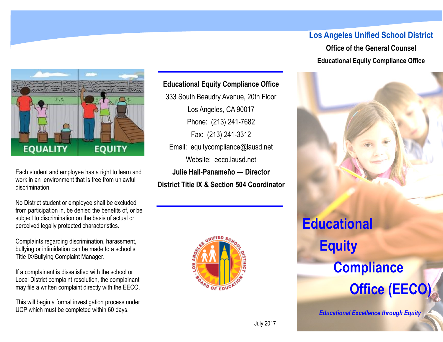## **Los Angeles Unified School District**

**Office of the General Counsel Educational Equity Compliance Office**



Each student and employee has a right to learn and work in an environment that is free from unlawful discrimination.

No District student or employee shall be excluded from participation in, be denied the benefits of, or be subject to discrimination on the basis of actual or perceived legally protected characteristics.

Complaints regarding discrimination, harassment, bullying or intimidation can be made to a school's Title IX/Bullying Complaint Manager.

If a complainant is dissatisfied with the school or Local District complaint resolution, the complainant may file a written complaint directly with the EECO.

This will begin a formal investigation process under UCP which must be completed within 60 days.

**Educational Equity Compliance Office** 333 South Beaudry Avenue, 20th Floor Los Angeles, CA 90017 Phone: (213) 241-7682 Fax: (213) 241-3312 Email: equitycompliance@lausd.net Website: eeco.lausd.net **Julie Hall-Panameño — Director District Title IX & Section 504 Coordinator**



# **Educational Equity Compliance Office (EECO)**

*Educational Excellence through Equity*